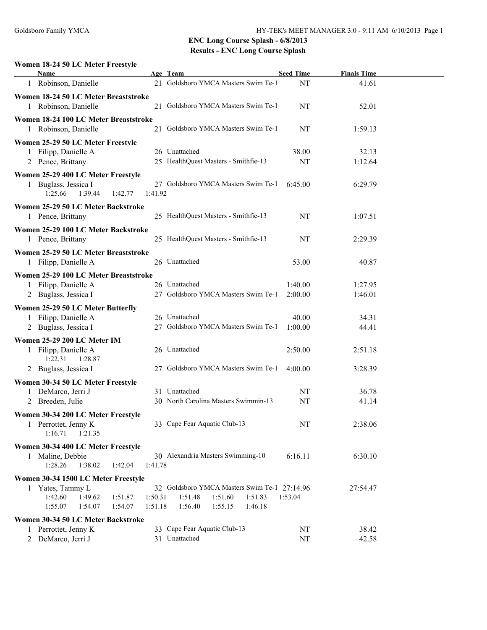# **Women 18-24 50 LC Meter Freestyle**

| Name                                                  |         | Age Team                                             | <b>Seed Time</b>   | <b>Finals Time</b> |  |  |  |
|-------------------------------------------------------|---------|------------------------------------------------------|--------------------|--------------------|--|--|--|
| 1 Robinson, Danielle                                  |         | 21 Goldsboro YMCA Masters Swim Te-1                  | NT                 | 41.61              |  |  |  |
| Women 18-24 50 LC Meter Breaststroke                  |         |                                                      |                    |                    |  |  |  |
| 1 Robinson, Danielle                                  |         | 21 Goldsboro YMCA Masters Swim Te-1                  | NT                 | 52.01              |  |  |  |
| Women 18-24 100 LC Meter Breaststroke                 |         |                                                      |                    |                    |  |  |  |
| 1 Robinson, Danielle                                  |         | 21 Goldsboro YMCA Masters Swim Te-1                  | NT                 | 1:59.13            |  |  |  |
| Women 25-29 50 LC Meter Freestyle                     |         |                                                      |                    |                    |  |  |  |
| 1 Filipp, Danielle A                                  |         | 26 Unattached                                        | 38.00              | 32.13              |  |  |  |
| 2 Pence, Brittany                                     |         | 25 HealthQuest Masters - Smithfie-13                 | NT                 | 1:12.64            |  |  |  |
| Women 25-29 400 LC Meter Freestyle                    |         |                                                      |                    |                    |  |  |  |
| 1 Buglass, Jessica I<br>1:25.66<br>1:39.44<br>1:42.77 | 1:41.92 | 27 Goldsboro YMCA Masters Swim Te-1                  | 6:45.00            | 6:29.79            |  |  |  |
| Women 25-29 50 LC Meter Backstroke                    |         |                                                      |                    |                    |  |  |  |
| 1 Pence, Brittany                                     |         | 25 HealthQuest Masters - Smithfie-13                 | NT                 | 1:07.51            |  |  |  |
| Women 25-29 100 LC Meter Backstroke                   |         |                                                      |                    |                    |  |  |  |
| 1 Pence, Brittany                                     |         | 25 HealthQuest Masters - Smithfie-13                 | NT                 | 2:29.39            |  |  |  |
| Women 25-29 50 LC Meter Breaststroke                  |         |                                                      |                    |                    |  |  |  |
| 1 Filipp, Danielle A                                  |         | 26 Unattached                                        | 53.00              | 40.87              |  |  |  |
|                                                       |         |                                                      |                    |                    |  |  |  |
| Women 25-29 100 LC Meter Breaststroke                 |         |                                                      |                    |                    |  |  |  |
| Filipp, Danielle A                                    |         | 26 Unattached<br>27 Goldsboro YMCA Masters Swim Te-1 | 1:40.00<br>2:00.00 | 1:27.95<br>1:46.01 |  |  |  |
| 2 Buglass, Jessica I                                  |         |                                                      |                    |                    |  |  |  |
| Women 25-29 50 LC Meter Butterfly                     |         |                                                      |                    |                    |  |  |  |
| 1 Filipp, Danielle A                                  |         | 26 Unattached                                        | 40.00              | 34.31              |  |  |  |
| 2 Buglass, Jessica I                                  |         | 27 Goldsboro YMCA Masters Swim Te-1                  | 1:00.00            | 44.41              |  |  |  |
| Women 25-29 200 LC Meter IM                           |         |                                                      |                    |                    |  |  |  |
| 1 Filipp, Danielle A                                  |         | 26 Unattached                                        | 2:50.00            | 2:51.18            |  |  |  |
| 1:28.87<br>1:22.31                                    |         |                                                      |                    |                    |  |  |  |
| 2 Buglass, Jessica I                                  |         | 27 Goldsboro YMCA Masters Swim Te-1                  | 4:00.00            | 3:28.39            |  |  |  |
| Women 30-34 50 LC Meter Freestyle                     |         |                                                      |                    |                    |  |  |  |
| 1 DeMarco, Jerri J                                    |         | 31 Unattached                                        | NT                 | 36.78              |  |  |  |
| 2 Breeden, Julie                                      |         | 30 North Carolina Masters Swimmin-13                 | NT                 | 41.14              |  |  |  |
| Women 30-34 200 LC Meter Freestyle                    |         |                                                      |                    |                    |  |  |  |
| Perrottet, Jenny K                                    |         | 33 Cape Fear Aquatic Club-13                         | NT                 | 2:38.06            |  |  |  |
| 1:21.35<br>1:16.71                                    |         |                                                      |                    |                    |  |  |  |
| Women 30-34 400 LC Meter Freestyle                    |         |                                                      |                    |                    |  |  |  |
| 1 Maline, Debbie                                      |         | 30 Alexandria Masters Swimming-10                    | 6:16.11            | 6:30.10            |  |  |  |
| 1:28.26<br>1:42.04<br>1:38.02                         | 1:41.78 |                                                      |                    |                    |  |  |  |
| Women 30-34 1500 LC Meter Freestyle                   |         |                                                      |                    |                    |  |  |  |
| 1 Yates, Tammy L                                      |         | 32 Goldsboro YMCA Masters Swim Te-1 27:14.96         |                    | 27:54.47           |  |  |  |
| 1:42.60<br>1:49.62<br>1:51.87                         | 1:50.31 | 1:51.48<br>1:51.60<br>1:51.83                        | 1:53.04            |                    |  |  |  |
| 1:55.07<br>1:54.07<br>1:54.07                         | 1:51.18 | 1:55.15<br>1:46.18<br>1:56.40                        |                    |                    |  |  |  |
| Women 30-34 50 LC Meter Backstroke                    |         |                                                      |                    |                    |  |  |  |
| 1 Perrottet, Jenny K                                  |         | 33 Cape Fear Aquatic Club-13                         | NT                 | 38.42              |  |  |  |
| DeMarco, Jerri J<br>2                                 |         | 31 Unattached                                        | NT                 | 42.58              |  |  |  |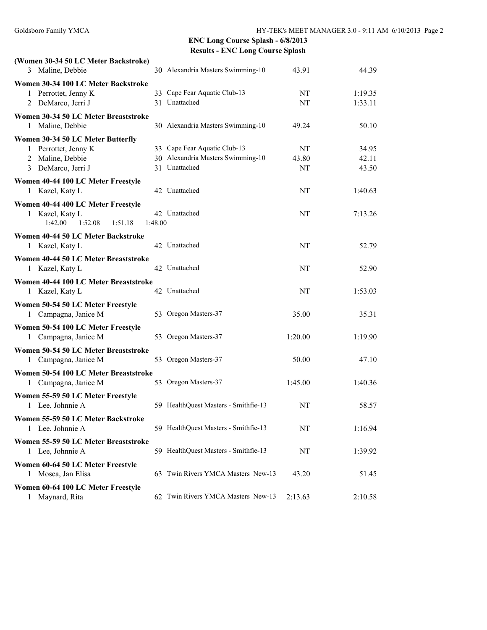| (Women 30-34 50 LC Meter Backstroke)  |         |                                                    |         |         |
|---------------------------------------|---------|----------------------------------------------------|---------|---------|
| 3 Maline, Debbie                      |         | 30 Alexandria Masters Swimming-10                  | 43.91   | 44.39   |
| Women 30-34 100 LC Meter Backstroke   |         |                                                    |         |         |
| 1 Perrottet, Jenny K                  |         | 33 Cape Fear Aquatic Club-13                       | NT      | 1:19.35 |
| DeMarco, Jerri J<br>2                 |         | 31 Unattached                                      | NT      | 1:33.11 |
| Women 30-34 50 LC Meter Breaststroke  |         |                                                    |         |         |
| Maline, Debbie<br>1                   |         | 30 Alexandria Masters Swimming-10                  | 49.24   | 50.10   |
| Women 30-34 50 LC Meter Butterfly     |         |                                                    |         |         |
| 1 Perrottet, Jenny K                  |         | 33 Cape Fear Aquatic Club-13                       | NT      | 34.95   |
| 2 Maline, Debbie                      |         | 30 Alexandria Masters Swimming-10<br>31 Unattached | 43.80   | 42.11   |
| 3 DeMarco, Jerri J                    |         |                                                    | NT      | 43.50   |
| Women 40-44 100 LC Meter Freestyle    |         |                                                    |         |         |
| 1 Kazel, Katy L                       |         | 42 Unattached                                      | NT      | 1:40.63 |
| Women 40-44 400 LC Meter Freestyle    |         |                                                    |         |         |
| 1 Kazel, Katy L                       |         | 42 Unattached                                      | NT      | 7:13.26 |
| 1:42.00<br>1:52.08<br>1:51.18         | 1:48.00 |                                                    |         |         |
| Women 40-44 50 LC Meter Backstroke    |         |                                                    |         |         |
| 1 Kazel, Katy L                       |         | 42 Unattached                                      | NT      | 52.79   |
| Women 40-44 50 LC Meter Breaststroke  |         |                                                    |         |         |
| 1 Kazel, Katy L                       |         | 42 Unattached                                      | NT      | 52.90   |
| Women 40-44 100 LC Meter Breaststroke |         |                                                    |         |         |
| 1 Kazel, Katy L                       |         | 42 Unattached                                      | NT      | 1:53.03 |
| Women 50-54 50 LC Meter Freestyle     |         |                                                    |         |         |
| 1 Campagna, Janice M                  |         | 53 Oregon Masters-37                               | 35.00   | 35.31   |
| Women 50-54 100 LC Meter Freestyle    |         |                                                    |         |         |
| Campagna, Janice M<br>1               |         | 53 Oregon Masters-37                               | 1:20.00 | 1:19.90 |
| Women 50-54 50 LC Meter Breaststroke  |         |                                                    |         |         |
| Campagna, Janice M<br>1               |         | 53 Oregon Masters-37                               | 50.00   | 47.10   |
| Women 50-54 100 LC Meter Breaststroke |         |                                                    |         |         |
| 1 Campagna, Janice M                  |         | 53 Oregon Masters-37                               | 1:45.00 | 1:40.36 |
| Women 55-59 50 LC Meter Freestyle     |         |                                                    |         |         |
| 1 Lee, Johnnie A                      |         | 59 HealthQuest Masters - Smithfie-13               | NT      | 58.57   |
|                                       |         |                                                    |         |         |
| Women 55-59 50 LC Meter Backstroke    |         | 59 HealthQuest Masters - Smithfie-13               | NT      |         |
| 1 Lee, Johnnie A                      |         |                                                    |         | 1:16.94 |
| Women 55-59 50 LC Meter Breaststroke  |         |                                                    |         |         |
| 1 Lee, Johnnie A                      |         | 59 HealthQuest Masters - Smithfie-13               | NT      | 1:39.92 |
| Women 60-64 50 LC Meter Freestyle     |         |                                                    |         |         |
| Mosca, Jan Elisa<br>1                 |         | 63 Twin Rivers YMCA Masters New-13                 | 43.20   | 51.45   |
| Women 60-64 100 LC Meter Freestyle    |         |                                                    |         |         |
| 1 Maynard, Rita                       |         | 62 Twin Rivers YMCA Masters New-13                 | 2:13.63 | 2:10.58 |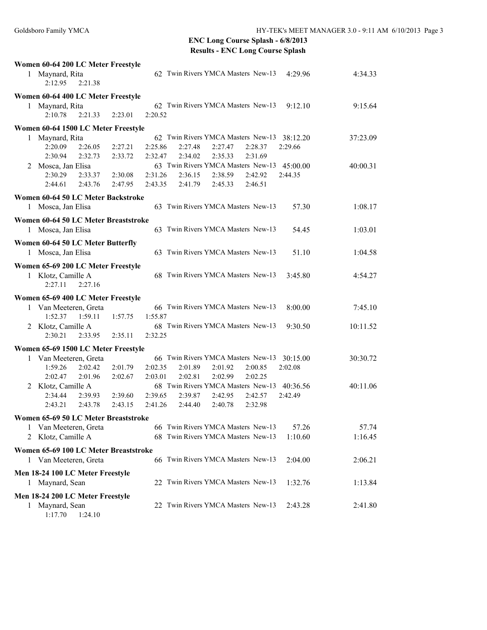|   | Women 60-64 200 LC Meter Freestyle<br>1 Maynard, Rita<br>2:12.95 | 2:21.38 |         |         | 62 Twin Rivers YMCA Masters New-13          |         |         | 4:29.96  | 4:34.33  |
|---|------------------------------------------------------------------|---------|---------|---------|---------------------------------------------|---------|---------|----------|----------|
|   | Women 60-64 400 LC Meter Freestyle                               |         |         |         |                                             |         |         |          |          |
| 1 | Maynard, Rita<br>2:10.78                                         | 2:21.33 | 2:23.01 | 2:20.52 | 62 Twin Rivers YMCA Masters New-13          |         |         | 9:12.10  | 9:15.64  |
|   | Women 60-64 1500 LC Meter Freestyle                              |         |         |         |                                             |         |         |          |          |
|   | 1 Maynard, Rita                                                  |         |         |         | 62 Twin Rivers YMCA Masters New-13          |         |         | 38:12.20 | 37:23.09 |
|   | 2:20.09                                                          | 2:26.05 | 2:27.21 | 2:25.86 | 2:27.48                                     | 2:27.47 | 2:28.37 | 2:29.66  |          |
|   | 2:30.94                                                          | 2:32.73 | 2:33.72 | 2:32.47 | 2:34.02                                     | 2:35.33 | 2:31.69 |          |          |
|   | 2 Mosca, Jan Elisa                                               |         |         |         | 63 Twin Rivers YMCA Masters New-13 45:00.00 |         |         |          | 40:00.31 |
|   | 2:30.29                                                          | 2:33.37 | 2:30.08 | 2:31.26 | 2:36.15                                     | 2:38.59 | 2:42.92 | 2:44.35  |          |
|   | 2:44.61                                                          | 2:43.76 | 2:47.95 | 2:43.35 | 2:41.79                                     | 2:45.33 | 2:46.51 |          |          |
|   | Women 60-64 50 LC Meter Backstroke                               |         |         |         |                                             |         |         |          |          |
|   | 1 Mosca, Jan Elisa                                               |         |         |         | 63 Twin Rivers YMCA Masters New-13          |         |         | 57.30    | 1:08.17  |
|   | Women 60-64 50 LC Meter Breaststroke                             |         |         |         |                                             |         |         |          |          |
|   | 1 Mosca, Jan Elisa                                               |         |         |         | 63 Twin Rivers YMCA Masters New-13          |         |         | 54.45    | 1:03.01  |
|   | Women 60-64 50 LC Meter Butterfly                                |         |         |         |                                             |         |         |          |          |
|   | 1 Mosca, Jan Elisa                                               |         |         |         | 63 Twin Rivers YMCA Masters New-13          |         |         | 51.10    | 1:04.58  |
|   | Women 65-69 200 LC Meter Freestyle                               |         |         |         |                                             |         |         |          |          |
|   | 1 Klotz, Camille A<br>2:27.11                                    | 2:27.16 |         |         | 68 Twin Rivers YMCA Masters New-13          |         |         | 3:45.80  | 4:54.27  |
|   | Women 65-69 400 LC Meter Freestyle                               |         |         |         |                                             |         |         |          |          |
|   | 1 Van Meeteren, Greta                                            |         |         |         | 66 Twin Rivers YMCA Masters New-13          |         |         | 8:00.00  | 7:45.10  |
|   | 1:52.37                                                          | 1:59.11 | 1:57.75 | 1:55.87 |                                             |         |         |          |          |
|   | 2 Klotz, Camille A                                               |         |         |         | 68 Twin Rivers YMCA Masters New-13          |         |         | 9:30.50  | 10:11.52 |
|   | 2:30.21                                                          | 2:33.95 | 2:35.11 | 2:32.25 |                                             |         |         |          |          |
|   | Women 65-69 1500 LC Meter Freestyle                              |         |         |         |                                             |         |         |          |          |
| 1 | Van Meeteren, Greta                                              |         |         |         | 66 Twin Rivers YMCA Masters New-13          |         |         | 30:15.00 | 30:30.72 |
|   | 1:59.26                                                          | 2:02.42 | 2:01.79 | 2:02.35 | 2:01.89                                     | 2:01.92 | 2:00.85 | 2:02.08  |          |
|   | 2:02.47                                                          | 2:01.96 | 2:02.67 | 2:03.01 | 2:02.81                                     | 2:02.99 | 2:02.25 |          |          |
|   | 2 Klotz, Camille A                                               |         |         |         | 68 Twin Rivers YMCA Masters New-13          |         |         | 40:36.56 | 40:11.06 |
|   | 2:34.44                                                          | 2:39.93 | 2:39.60 | 2:39.65 | 2:39.87                                     | 2:42.95 | 2:42.57 | 2:42.49  |          |
|   | 2:43.21                                                          | 2:43.78 | 2:43.15 | 2:41.26 | 2:44.40                                     | 2:40.78 | 2:32.98 |          |          |
|   | Women 65-69 50 LC Meter Breaststroke                             |         |         |         |                                             |         |         |          |          |
| 1 | Van Meeteren, Greta                                              |         |         |         | 66 Twin Rivers YMCA Masters New-13          |         |         | 57.26    | 57.74    |
| 2 | Klotz, Camille A                                                 |         |         |         | 68 Twin Rivers YMCA Masters New-13          |         |         | 1:10.60  | 1:16.45  |
|   |                                                                  |         |         |         |                                             |         |         |          |          |
|   | Women 65-69 100 LC Meter Breaststroke                            |         |         |         |                                             |         |         |          |          |
|   | 1 Van Meeteren, Greta                                            |         |         |         | 66 Twin Rivers YMCA Masters New-13          |         |         | 2:04.00  | 2:06.21  |
|   | Men 18-24 100 LC Meter Freestyle                                 |         |         |         |                                             |         |         |          |          |
| 1 | Maynard, Sean                                                    |         |         |         | 22 Twin Rivers YMCA Masters New-13          |         |         | 1:32.76  | 1:13.84  |
|   | Men 18-24 200 LC Meter Freestyle                                 |         |         |         |                                             |         |         |          |          |
| 1 | Maynard, Sean                                                    |         |         |         | 22 Twin Rivers YMCA Masters New-13          |         |         | 2:43.28  | 2:41.80  |
|   | 1:17.70                                                          | 1:24.10 |         |         |                                             |         |         |          |          |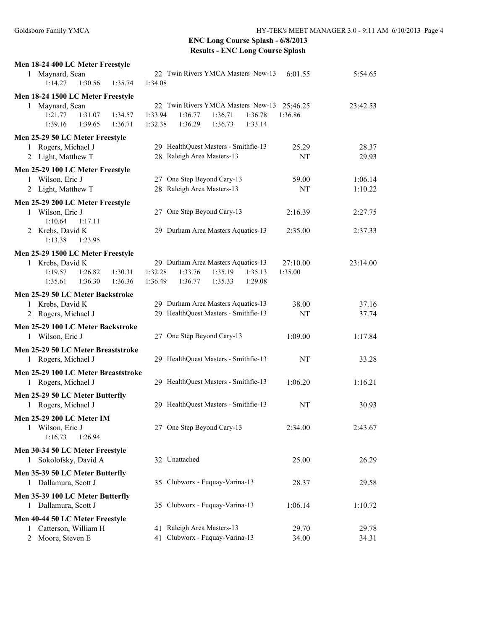| Men 18-24 400 LC Meter Freestyle                                                   |                                                                                                                                     |                     |                |
|------------------------------------------------------------------------------------|-------------------------------------------------------------------------------------------------------------------------------------|---------------------|----------------|
| 1 Maynard, Sean<br>1:35.74<br>1:14.27<br>1:30.56                                   | 22 Twin Rivers YMCA Masters New-13<br>1:34.08                                                                                       | 6:01.55             | 5:54.65        |
| Men 18-24 1500 LC Meter Freestyle                                                  |                                                                                                                                     |                     |                |
| 1 Maynard, Sean<br>1:21.77<br>1:31.07<br>1:34.57<br>1:39.16<br>1:39.65<br>1:36.71  | 22 Twin Rivers YMCA Masters New-13 25:46.25<br>1:33.94<br>1:36.77<br>1:36.71<br>1:36.78<br>1:32.38<br>1:36.29<br>1:36.73<br>1:33.14 | 1:36.86             | 23:42.53       |
| Men 25-29 50 LC Meter Freestyle                                                    |                                                                                                                                     |                     |                |
| Rogers, Michael J<br>Light, Matthew T<br>2                                         | 29 HealthQuest Masters - Smithfie-13<br>28 Raleigh Area Masters-13                                                                  | 25.29<br>NT         | 28.37<br>29.93 |
| Men 25-29 100 LC Meter Freestyle                                                   |                                                                                                                                     |                     |                |
| Wilson, Eric J<br>1                                                                | 27 One Step Beyond Cary-13                                                                                                          | 59.00               | 1:06.14        |
| Light, Matthew T<br>2                                                              | 28 Raleigh Area Masters-13                                                                                                          | NT                  | 1:10.22        |
| Men 25-29 200 LC Meter Freestyle<br>1 Wilson, Eric J<br>1:10.64<br>1:17.11         | 27 One Step Beyond Cary-13                                                                                                          | 2:16.39             | 2:27.75        |
| 2 Krebs, David K<br>1:13.38<br>1:23.95                                             | 29 Durham Area Masters Aquatics-13                                                                                                  | 2:35.00             | 2:37.33        |
| Men 25-29 1500 LC Meter Freestyle                                                  |                                                                                                                                     |                     |                |
| 1 Krebs, David K<br>1:30.31<br>1:19.57<br>1:26.82<br>1:35.61<br>1:36.30<br>1:36.36 | 29 Durham Area Masters Aquatics-13<br>1:32.28<br>1:35.19<br>1:33.76<br>1:35.13<br>1:29.08<br>1:36.49<br>1:36.77<br>1:35.33          | 27:10.00<br>1:35.00 | 23:14.00       |
| Men 25-29 50 LC Meter Backstroke                                                   |                                                                                                                                     |                     |                |
| Krebs, David K<br>1<br>2 Rogers, Michael J                                         | 29 Durham Area Masters Aquatics-13<br>29 HealthQuest Masters - Smithfie-13                                                          | 38.00<br>NT         | 37.16<br>37.74 |
| Men 25-29 100 LC Meter Backstroke<br>1 Wilson, Eric J                              | 27 One Step Beyond Cary-13                                                                                                          | 1:09.00             | 1:17.84        |
| Men 25-29 50 LC Meter Breaststroke<br>1 Rogers, Michael J                          | 29 HealthQuest Masters - Smithfie-13                                                                                                | NT                  | 33.28          |
| Men 25-29 100 LC Meter Breaststroke<br>1 Rogers, Michael J                         | 29 HealthQuest Masters - Smithfie-13                                                                                                | 1:06.20             | 1:16.21        |
| Men 25-29 50 LC Meter Butterfly<br>1 Rogers, Michael J                             | 29 HealthQuest Masters - Smithfie-13                                                                                                | NT                  | 30.93          |
| Men 25-29 200 LC Meter IM<br>1 Wilson, Eric J<br>1:16.73<br>1:26.94                | 27 One Step Beyond Cary-13                                                                                                          | 2:34.00             | 2:43.67        |
| Men 30-34 50 LC Meter Freestyle<br>Sokolofsky, David A<br>$\mathbf{1}$             | 32 Unattached                                                                                                                       | 25.00               | 26.29          |
| Men 35-39 50 LC Meter Butterfly<br>1 Dallamura, Scott J                            | 35 Clubworx - Fuquay-Varina-13                                                                                                      | 28.37               | 29.58          |
| Men 35-39 100 LC Meter Butterfly<br>1 Dallamura, Scott J                           | 35 Clubworx - Fuquay-Varina-13                                                                                                      | 1:06.14             | 1:10.72        |
| Men 40-44 50 LC Meter Freestyle                                                    |                                                                                                                                     |                     |                |
| Catterson, William H<br>Moore, Steven E                                            | 41 Raleigh Area Masters-13<br>41 Clubworx - Fuquay-Varina-13                                                                        | 29.70<br>34.00      | 29.78<br>34.31 |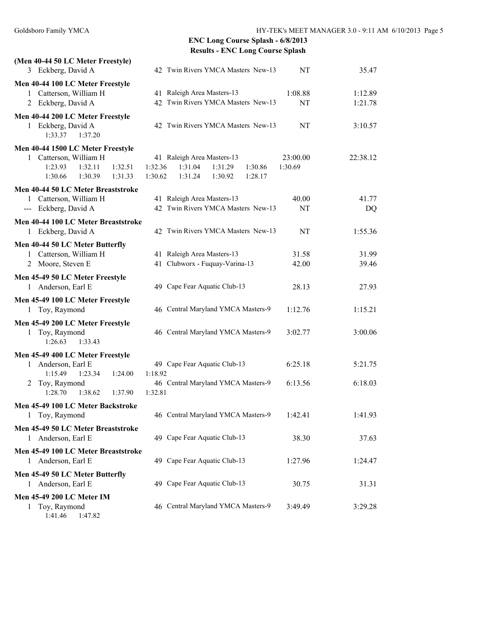| (Men 40-44 50 LC Meter Freestyle)                         |                                          |          |          |
|-----------------------------------------------------------|------------------------------------------|----------|----------|
| 3 Eckberg, David A                                        | 42 Twin Rivers YMCA Masters New-13       | NT       | 35.47    |
| Men 40-44 100 LC Meter Freestyle                          |                                          |          |          |
| 1 Catterson, William H                                    | 41 Raleigh Area Masters-13               | 1:08.88  | 1:12.89  |
| 2 Eckberg, David A                                        | 42 Twin Rivers YMCA Masters New-13       | NT       | 1:21.78  |
| Men 40-44 200 LC Meter Freestyle                          |                                          |          |          |
| 1 Eckberg, David A                                        | 42 Twin Rivers YMCA Masters New-13       | NT       | 3:10.57  |
| 1:33.37<br>1:37.20                                        |                                          |          |          |
| Men 40-44 1500 LC Meter Freestyle                         |                                          |          |          |
| 1 Catterson, William H                                    | 41 Raleigh Area Masters-13               | 23:00.00 | 22:38.12 |
| 1:23.93<br>1:32.11<br>1:32.51                             | 1:31.04<br>1:31.29<br>1:32.36<br>1:30.86 | 1:30.69  |          |
| 1:30.39<br>1:30.66<br>1:31.33                             | 1:30.62<br>1:31.24<br>1:30.92<br>1:28.17 |          |          |
| Men 40-44 50 LC Meter Breaststroke                        |                                          |          |          |
| 1 Catterson, William H                                    | 41 Raleigh Area Masters-13               | 40.00    | 41.77    |
| --- Eckberg, David A                                      | 42 Twin Rivers YMCA Masters New-13       | NT       | DQ       |
| Men 40-44 100 LC Meter Breaststroke                       |                                          |          |          |
| 1 Eckberg, David A                                        | 42 Twin Rivers YMCA Masters New-13       | NT       | 1:55.36  |
|                                                           |                                          |          |          |
| Men 40-44 50 LC Meter Butterfly<br>1 Catterson, William H | 41 Raleigh Area Masters-13               | 31.58    | 31.99    |
| 2 Moore, Steven E                                         | 41 Clubworx - Fuquay-Varina-13           | 42.00    | 39.46    |
|                                                           |                                          |          |          |
| Men 45-49 50 LC Meter Freestyle                           |                                          |          |          |
| 1 Anderson, Earl E                                        | 49 Cape Fear Aquatic Club-13             | 28.13    | 27.93    |
| Men 45-49 100 LC Meter Freestyle                          |                                          |          |          |
| 1 Toy, Raymond                                            | 46 Central Maryland YMCA Masters-9       | 1:12.76  | 1:15.21  |
| Men 45-49 200 LC Meter Freestyle                          |                                          |          |          |
| 1 Toy, Raymond                                            | 46 Central Maryland YMCA Masters-9       | 3:02.77  | 3:00.06  |
| 1:33.43<br>1:26.63                                        |                                          |          |          |
| Men 45-49 400 LC Meter Freestyle                          |                                          |          |          |
| 1 Anderson, Earl E                                        | 49 Cape Fear Aquatic Club-13             | 6:25.18  | 5:21.75  |
| 1:23.34<br>1:15.49<br>1:24.00                             | 1:18.92                                  |          |          |
| Toy, Raymond<br>2                                         | 46 Central Maryland YMCA Masters-9       | 6:13.56  | 6:18.03  |
| 1:28.70<br>1:38.62<br>1:37.90                             | 1:32.81                                  |          |          |
| Men 45-49 100 LC Meter Backstroke                         |                                          |          |          |
| 1 Toy, Raymond                                            | 46 Central Maryland YMCA Masters-9       | 1:42.41  | 1:41.93  |
| Men 45-49 50 LC Meter Breaststroke                        |                                          |          |          |
| Anderson, Earl E<br>1.                                    | 49 Cape Fear Aquatic Club-13             | 38.30    | 37.63    |
| Men 45-49 100 LC Meter Breaststroke                       |                                          |          |          |
| Anderson, Earl E<br>$\mathbf{1}$                          | 49 Cape Fear Aquatic Club-13             | 1:27.96  | 1:24.47  |
| Men 45-49 50 LC Meter Butterfly                           |                                          |          |          |
| Anderson, Earl E<br>1                                     | 49 Cape Fear Aquatic Club-13             | 30.75    | 31.31    |
|                                                           |                                          |          |          |
| Men 45-49 200 LC Meter IM                                 |                                          |          |          |
| Toy, Raymond<br>1<br>1:41.46<br>1:47.82                   | 46 Central Maryland YMCA Masters-9       | 3:49.49  | 3:29.28  |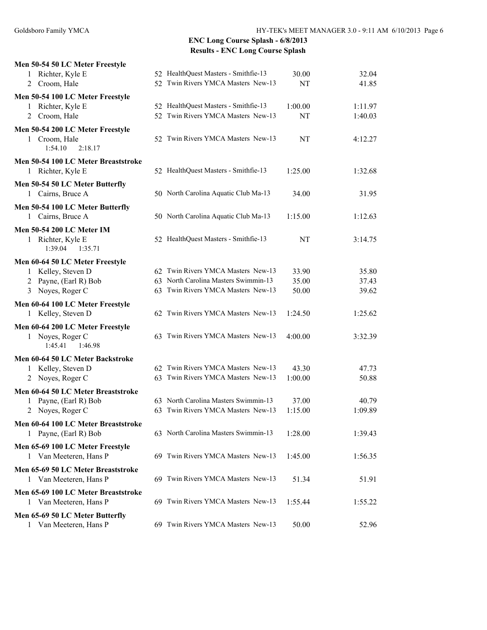| Men 50-54 50 LC Meter Freestyle                        |                                      |         |         |
|--------------------------------------------------------|--------------------------------------|---------|---------|
| 1 Richter, Kyle E                                      | 52 HealthQuest Masters - Smithfie-13 | 30.00   | 32.04   |
| 2 Croom, Hale                                          | 52 Twin Rivers YMCA Masters New-13   | NT      | 41.85   |
| Men 50-54 100 LC Meter Freestyle                       |                                      |         |         |
| 1 Richter, Kyle E                                      | 52 HealthQuest Masters - Smithfie-13 | 1:00.00 | 1:11.97 |
| Croom, Hale<br>2                                       | 52 Twin Rivers YMCA Masters New-13   | NT      | 1:40.03 |
| Men 50-54 200 LC Meter Freestyle                       |                                      |         |         |
| 1 Croom, Hale                                          | 52 Twin Rivers YMCA Masters New-13   | NT      | 4:12.27 |
| 1:54.10<br>2:18.17                                     |                                      |         |         |
| Men 50-54 100 LC Meter Breaststroke                    |                                      |         |         |
| 1 Richter, Kyle E                                      | 52 HealthQuest Masters - Smithfie-13 | 1:25.00 | 1:32.68 |
| Men 50-54 50 LC Meter Butterfly                        |                                      |         |         |
| 1 Cairns, Bruce A                                      | 50 North Carolina Aquatic Club Ma-13 | 34.00   | 31.95   |
| Men 50-54 100 LC Meter Butterfly                       |                                      |         |         |
| 1 Cairns, Bruce A                                      | 50 North Carolina Aquatic Club Ma-13 | 1:15.00 | 1:12.63 |
| Men 50-54 200 LC Meter IM                              |                                      |         |         |
| 1 Richter, Kyle E                                      | 52 HealthQuest Masters - Smithfie-13 | NT      | 3:14.75 |
| 1:39.04<br>1:35.71                                     |                                      |         |         |
| Men 60-64 50 LC Meter Freestyle                        |                                      |         |         |
| 1 Kelley, Steven D                                     | 62 Twin Rivers YMCA Masters New-13   | 33.90   | 35.80   |
| 2 Payne, (Earl R) Bob                                  | 63 North Carolina Masters Swimmin-13 | 35.00   | 37.43   |
| 3 Noyes, Roger C                                       | 63 Twin Rivers YMCA Masters New-13   | 50.00   | 39.62   |
| Men 60-64 100 LC Meter Freestyle                       |                                      |         |         |
| 1 Kelley, Steven D                                     | 62 Twin Rivers YMCA Masters New-13   | 1:24.50 | 1:25.62 |
|                                                        |                                      |         |         |
| Men 60-64 200 LC Meter Freestyle<br>1 Noyes, Roger C   | 63 Twin Rivers YMCA Masters New-13   | 4:00.00 | 3:32.39 |
| 1:45.41<br>1:46.98                                     |                                      |         |         |
|                                                        |                                      |         |         |
| Men 60-64 50 LC Meter Backstroke<br>1 Kelley, Steven D | 62 Twin Rivers YMCA Masters New-13   | 43.30   | 47.73   |
| Noyes, Roger C<br>2                                    | 63 Twin Rivers YMCA Masters New-13   | 1:00.00 | 50.88   |
|                                                        |                                      |         |         |
| Men 60-64 50 LC Meter Breaststroke                     | 63 North Carolina Masters Swimmin-13 | 37.00   | 40.79   |
| Payne, (Earl R) Bob<br>Noyes, Roger C<br>2             | 63 Twin Rivers YMCA Masters New-13   | 1:15.00 | 1:09.89 |
|                                                        |                                      |         |         |
| Men 60-64 100 LC Meter Breaststroke                    | 63 North Carolina Masters Swimmin-13 | 1:28.00 |         |
| 1 Payne, (Earl R) Bob                                  |                                      |         | 1:39.43 |
| Men 65-69 100 LC Meter Freestyle                       |                                      |         |         |
| Van Meeteren, Hans P<br>1                              | 69 Twin Rivers YMCA Masters New-13   | 1:45.00 | 1:56.35 |
| Men 65-69 50 LC Meter Breaststroke                     |                                      |         |         |
| 1 Van Meeteren, Hans P                                 | 69 Twin Rivers YMCA Masters New-13   | 51.34   | 51.91   |
| Men 65-69 100 LC Meter Breaststroke                    |                                      |         |         |
| 1 Van Meeteren, Hans P                                 | 69 Twin Rivers YMCA Masters New-13   | 1:55.44 | 1:55.22 |
| Men 65-69 50 LC Meter Butterfly                        |                                      |         |         |
| Van Meeteren, Hans P                                   | 69 Twin Rivers YMCA Masters New-13   | 50.00   | 52.96   |